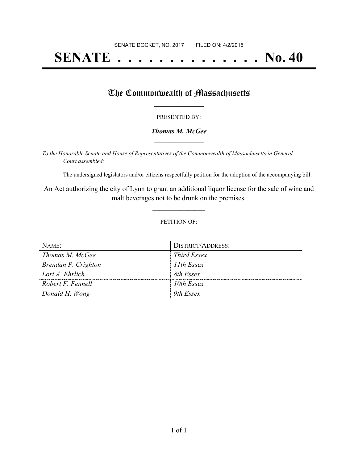# **SENATE . . . . . . . . . . . . . . No. 40**

### The Commonwealth of Massachusetts

#### PRESENTED BY:

#### *Thomas M. McGee* **\_\_\_\_\_\_\_\_\_\_\_\_\_\_\_\_\_**

*To the Honorable Senate and House of Representatives of the Commonwealth of Massachusetts in General Court assembled:*

The undersigned legislators and/or citizens respectfully petition for the adoption of the accompanying bill:

An Act authorizing the city of Lynn to grant an additional liquor license for the sale of wine and malt beverages not to be drunk on the premises.

**\_\_\_\_\_\_\_\_\_\_\_\_\_\_\_**

#### PETITION OF:

| $N$ AME:            | DISTRICT/ADDRESS: |
|---------------------|-------------------|
| Thomas M. McGee     | Third Essex       |
| Brendan P. Crighton | 11th Essex        |
| Lori A. Ehrlich     | 8th Essex         |
| Robert F. Fennell   | 10th Essex        |
| Donald H. Wong      | <i>ith Essex</i>  |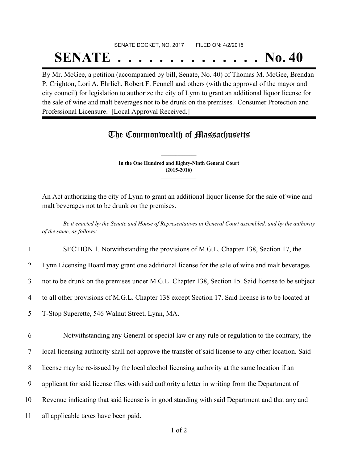# SENATE DOCKET, NO. 2017 FILED ON: 4/2/2015 **SENATE . . . . . . . . . . . . . . No. 40**

By Mr. McGee, a petition (accompanied by bill, Senate, No. 40) of Thomas M. McGee, Brendan P. Crighton, Lori A. Ehrlich, Robert F. Fennell and others (with the approval of the mayor and city council) for legislation to authorize the city of Lynn to grant an additional liquor license for the sale of wine and malt beverages not to be drunk on the premises. Consumer Protection and Professional Licensure. [Local Approval Received.]

## The Commonwealth of Massachusetts

**In the One Hundred and Eighty-Ninth General Court (2015-2016) \_\_\_\_\_\_\_\_\_\_\_\_\_\_\_**

**\_\_\_\_\_\_\_\_\_\_\_\_\_\_\_**

An Act authorizing the city of Lynn to grant an additional liquor license for the sale of wine and malt beverages not to be drunk on the premises.

Be it enacted by the Senate and House of Representatives in General Court assembled, and by the authority *of the same, as follows:*

1 SECTION 1. Notwithstanding the provisions of M.G.L. Chapter 138, Section 17, the

2 Lynn Licensing Board may grant one additional license for the sale of wine and malt beverages

3 not to be drunk on the premises under M.G.L. Chapter 138, Section 15. Said license to be subject

4 to all other provisions of M.G.L. Chapter 138 except Section 17. Said license is to be located at

5 T-Stop Superette, 546 Walnut Street, Lynn, MA.

6 Notwithstanding any General or special law or any rule or regulation to the contrary, the

7 local licensing authority shall not approve the transfer of said license to any other location. Said

8 license may be re-issued by the local alcohol licensing authority at the same location if an

9 applicant for said license files with said authority a letter in writing from the Department of

10 Revenue indicating that said license is in good standing with said Department and that any and

11 all applicable taxes have been paid.